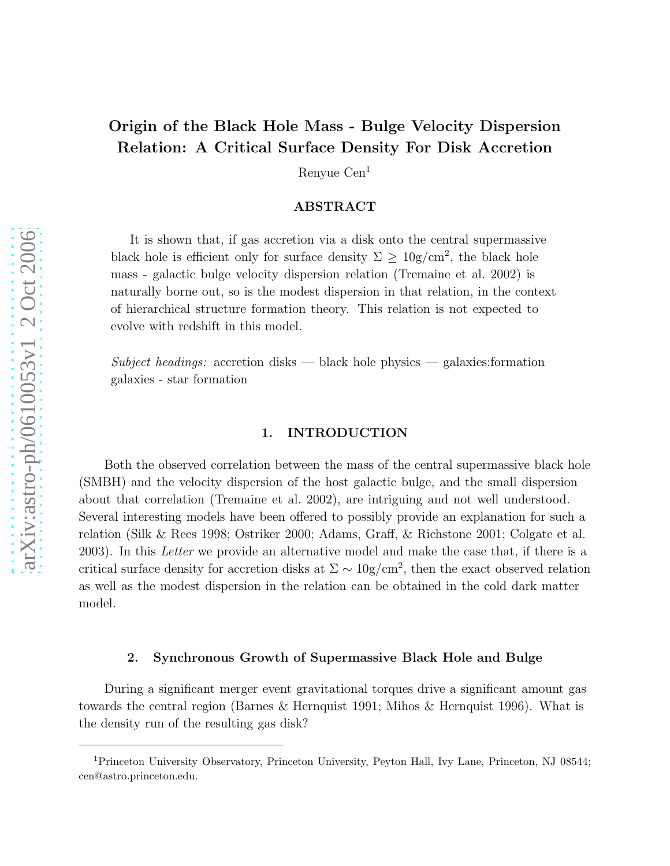# Origin of the Black Hole Mass - Bulge Velocity Dispersion Relation: A Critical Surface Density For Disk Accretion

Renyue Cen<sup>1</sup>

## ABSTRACT

It is shown that, if gas accretion via a disk onto the central supermassive black hole is efficient only for surface density  $\Sigma \geq 10$ g/cm<sup>2</sup>, the black hole mass - galactic bulge velocity dispersion relation (Tremaine et al. 2002) is naturally borne out, so is the modest dispersion in that relation, in the context of hierarchical structure formation theory. This relation is not expected to evolve with redshift in this model.

Subject headings: accretion disks — black hole physics — galaxies: formation galaxies - star formation

## 1. INTRODUCTION

Both the observed correlation between the mass of the central supermassive black hole (SMBH) and the velocity dispersion of the host galactic bulge, and the small dispersion about that correlation (Tremaine et al. 2002), are intriguing and not well understood. Several interesting models have been offered to possibly provide an explanation for such a relation (Silk & Rees 1998; Ostriker 2000; Adams, Graff, & Richstone 2001; Colgate et al. 2003). In this Letter we provide an alternative model and make the case that, if there is a critical surface density for accretion disks at  $\Sigma \sim 10$ g/cm<sup>2</sup>, then the exact observed relation as well as the modest dispersion in the relation can be obtained in the cold dark matter model.

#### 2. Synchronous Growth of Supermassive Black Hole and Bulge

During a significant merger event gravitational torques drive a significant amount gas towards the central region (Barnes & Hernquist 1991; Mihos & Hernquist 1996). What is the density run of the resulting gas disk?

<sup>1</sup>Princeton University Observatory, Princeton University, Peyton Hall, Ivy Lane, Princeton, NJ 08544; cen@astro.princeton.edu.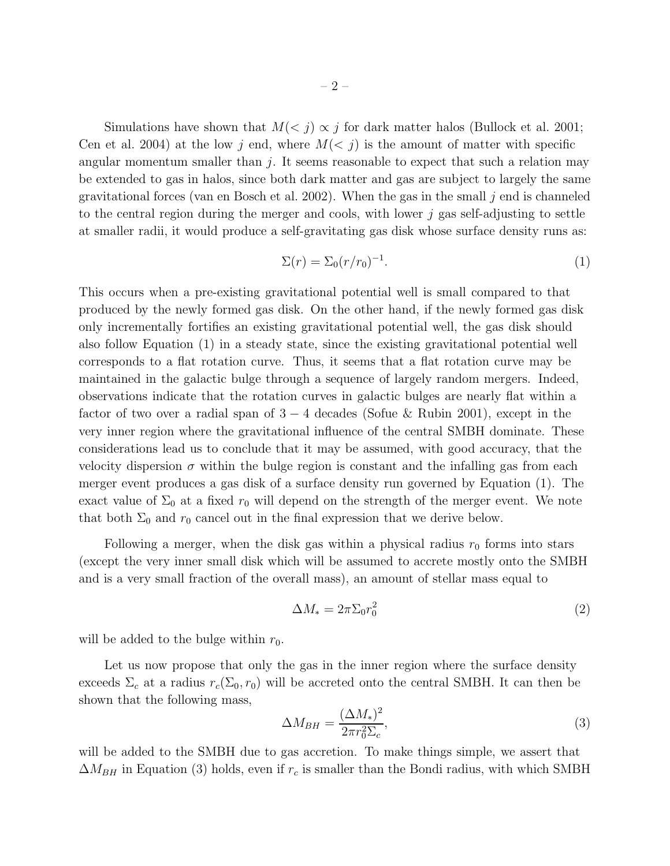Simulations have shown that  $M(*j*) \propto *j*$  for dark matter halos (Bullock et al. 2001; Cen et al. 2004) at the low j end, where  $M(*j*)$  is the amount of matter with specific angular momentum smaller than  $j$ . It seems reasonable to expect that such a relation may be extended to gas in halos, since both dark matter and gas are subject to largely the same gravitational forces (van en Bosch et al. 2002). When the gas in the small  $j$  end is channeled to the central region during the merger and cools, with lower  $j$  gas self-adjusting to settle at smaller radii, it would produce a self-gravitating gas disk whose surface density runs as:

$$
\Sigma(r) = \Sigma_0 (r/r_0)^{-1}.\tag{1}
$$

This occurs when a pre-existing gravitational potential well is small compared to that produced by the newly formed gas disk. On the other hand, if the newly formed gas disk only incrementally fortifies an existing gravitational potential well, the gas disk should also follow Equation (1) in a steady state, since the existing gravitational potential well corresponds to a flat rotation curve. Thus, it seems that a flat rotation curve may be maintained in the galactic bulge through a sequence of largely random mergers. Indeed, observations indicate that the rotation curves in galactic bulges are nearly flat within a factor of two over a radial span of  $3 - 4$  decades (Sofue & Rubin 2001), except in the very inner region where the gravitational influence of the central SMBH dominate. These considerations lead us to conclude that it may be assumed, with good accuracy, that the velocity dispersion  $\sigma$  within the bulge region is constant and the infalling gas from each merger event produces a gas disk of a surface density run governed by Equation (1). The exact value of  $\Sigma_0$  at a fixed  $r_0$  will depend on the strength of the merger event. We note that both  $\Sigma_0$  and  $r_0$  cancel out in the final expression that we derive below.

Following a merger, when the disk gas within a physical radius  $r_0$  forms into stars (except the very inner small disk which will be assumed to accrete mostly onto the SMBH and is a very small fraction of the overall mass), an amount of stellar mass equal to

$$
\Delta M_* = 2\pi \Sigma_0 r_0^2 \tag{2}
$$

will be added to the bulge within  $r_0$ .

Let us now propose that only the gas in the inner region where the surface density exceeds  $\Sigma_c$  at a radius  $r_c(\Sigma_0, r_0)$  will be accreted onto the central SMBH. It can then be shown that the following mass,

$$
\Delta M_{BH} = \frac{(\Delta M_*)^2}{2\pi r_0^2 \Sigma_c},\tag{3}
$$

will be added to the SMBH due to gas accretion. To make things simple, we assert that  $\Delta M_{BH}$  in Equation (3) holds, even if  $r_c$  is smaller than the Bondi radius, with which SMBH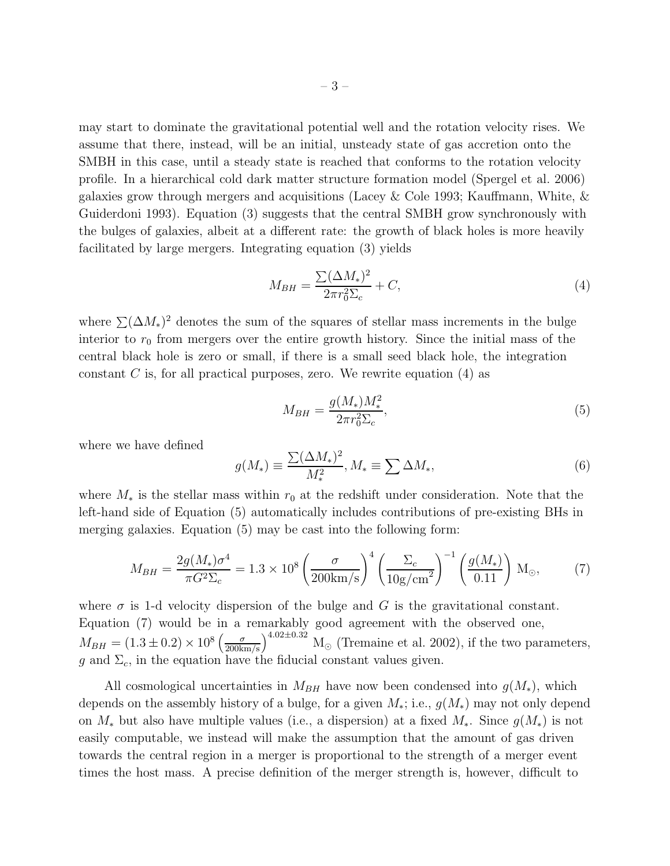may start to dominate the gravitational potential well and the rotation velocity rises. We assume that there, instead, will be an initial, unsteady state of gas accretion onto the SMBH in this case, until a steady state is reached that conforms to the rotation velocity profile. In a hierarchical cold dark matter structure formation model (Spergel et al. 2006) galaxies grow through mergers and acquisitions (Lacey & Cole 1993; Kauffmann, White, & Guiderdoni 1993). Equation (3) suggests that the central SMBH grow synchronously with the bulges of galaxies, albeit at a different rate: the growth of black holes is more heavily facilitated by large mergers. Integrating equation (3) yields

$$
M_{BH} = \frac{\sum (\Delta M_*)^2}{2\pi r_0^2 \Sigma_c} + C,\tag{4}
$$

where  $\sum (\Delta M_*)^2$  denotes the sum of the squares of stellar mass increments in the bulge interior to  $r_0$  from mergers over the entire growth history. Since the initial mass of the central black hole is zero or small, if there is a small seed black hole, the integration constant C is, for all practical purposes, zero. We rewrite equation  $(4)$  as

$$
M_{BH} = \frac{g(M_*)M_*^2}{2\pi r_0^2 \Sigma_c},\tag{5}
$$

where we have defined

$$
g(M_*) \equiv \frac{\sum (\Delta M_*)^2}{M_*^2}, M_* \equiv \sum \Delta M_*, \tag{6}
$$

where  $M_*$  is the stellar mass within  $r_0$  at the redshift under consideration. Note that the left-hand side of Equation (5) automatically includes contributions of pre-existing BHs in merging galaxies. Equation (5) may be cast into the following form:

$$
M_{BH} = \frac{2g(M_*)\sigma^4}{\pi G^2 \Sigma_c} = 1.3 \times 10^8 \left(\frac{\sigma}{200 \text{km/s}}\right)^4 \left(\frac{\Sigma_c}{10 \text{g/cm}^2}\right)^{-1} \left(\frac{g(M_*)}{0.11}\right) \text{M}_\odot,
$$
 (7)

where  $\sigma$  is 1-d velocity dispersion of the bulge and G is the gravitational constant. Equation (7) would be in a remarkably good agreement with the observed one,  $M_{BH} = (1.3 \pm 0.2) \times 10^8 \left(\frac{\sigma}{200 \text{km/s}}\right)^{4.02 \pm 0.32} \text{M}_{\odot}$  (Tremaine et al. 2002), if the two parameters, g and  $\Sigma_c$ , in the equation have the fiducial constant values given.

All cosmological uncertainties in  $M_{BH}$  have now been condensed into  $g(M_*)$ , which depends on the assembly history of a bulge, for a given  $M_*$ ; i.e.,  $g(M_*)$  may not only depend on  $M_*$  but also have multiple values (i.e., a dispersion) at a fixed  $M_*$ . Since  $g(M_*)$  is not easily computable, we instead will make the assumption that the amount of gas driven towards the central region in a merger is proportional to the strength of a merger event times the host mass. A precise definition of the merger strength is, however, difficult to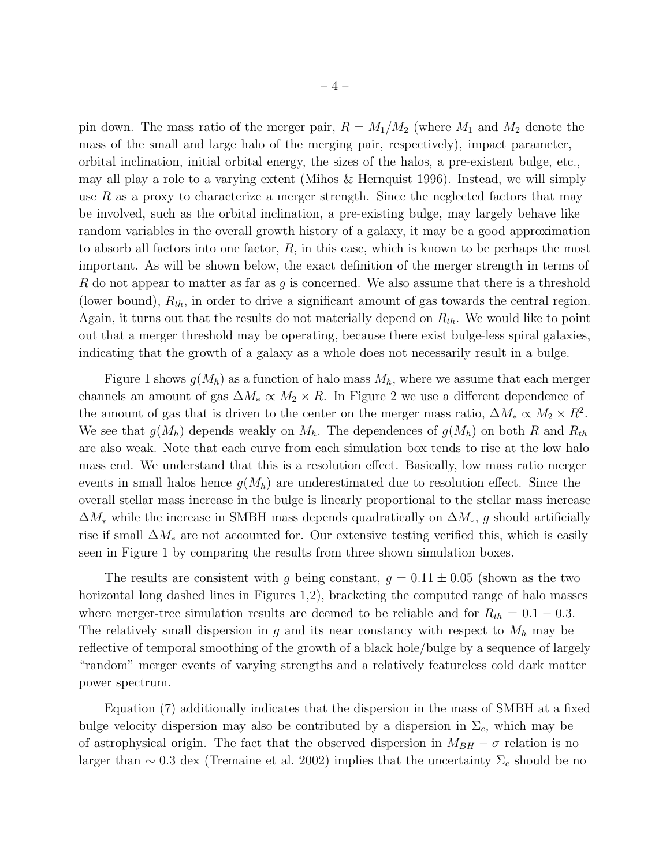pin down. The mass ratio of the merger pair,  $R = M_1/M_2$  (where  $M_1$  and  $M_2$  denote the mass of the small and large halo of the merging pair, respectively), impact parameter, orbital inclination, initial orbital energy, the sizes of the halos, a pre-existent bulge, etc., may all play a role to a varying extent (Mihos & Hernquist 1996). Instead, we will simply use R as a proxy to characterize a merger strength. Since the neglected factors that may be involved, such as the orbital inclination, a pre-existing bulge, may largely behave like random variables in the overall growth history of a galaxy, it may be a good approximation to absorb all factors into one factor,  $R$ , in this case, which is known to be perhaps the most important. As will be shown below, the exact definition of the merger strength in terms of R do not appear to matter as far as g is concerned. We also assume that there is a threshold (lower bound),  $R_{th}$ , in order to drive a significant amount of gas towards the central region. Again, it turns out that the results do not materially depend on  $R_{th}$ . We would like to point out that a merger threshold may be operating, because there exist bulge-less spiral galaxies, indicating that the growth of a galaxy as a whole does not necessarily result in a bulge.

Figure 1 shows  $g(M_h)$  as a function of halo mass  $M_h$ , where we assume that each merger channels an amount of gas  $\Delta M_* \propto M_2 \times R$ . In Figure 2 we use a different dependence of the amount of gas that is driven to the center on the merger mass ratio,  $\Delta M_* \propto M_2 \times R^2$ . We see that  $g(M_h)$  depends weakly on  $M_h$ . The dependences of  $g(M_h)$  on both R and  $R_{th}$ are also weak. Note that each curve from each simulation box tends to rise at the low halo mass end. We understand that this is a resolution effect. Basically, low mass ratio merger events in small halos hence  $g(M_h)$  are underestimated due to resolution effect. Since the overall stellar mass increase in the bulge is linearly proportional to the stellar mass increase  $\Delta M_*$  while the increase in SMBH mass depends quadratically on  $\Delta M_*, g$  should artificially rise if small  $\Delta M_*$  are not accounted for. Our extensive testing verified this, which is easily seen in Figure 1 by comparing the results from three shown simulation boxes.

The results are consistent with g being constant,  $g = 0.11 \pm 0.05$  (shown as the two horizontal long dashed lines in Figures 1,2), bracketing the computed range of halo masses where merger-tree simulation results are deemed to be reliable and for  $R_{th} = 0.1 - 0.3$ . The relatively small dispersion in  $g$  and its near constancy with respect to  $M_h$  may be reflective of temporal smoothing of the growth of a black hole/bulge by a sequence of largely "random" merger events of varying strengths and a relatively featureless cold dark matter power spectrum.

Equation (7) additionally indicates that the dispersion in the mass of SMBH at a fixed bulge velocity dispersion may also be contributed by a dispersion in  $\Sigma_c$ , which may be of astrophysical origin. The fact that the observed dispersion in  $M_{BH} - \sigma$  relation is no larger than  $\sim 0.3$  dex (Tremaine et al. 2002) implies that the uncertainty  $\Sigma_c$  should be no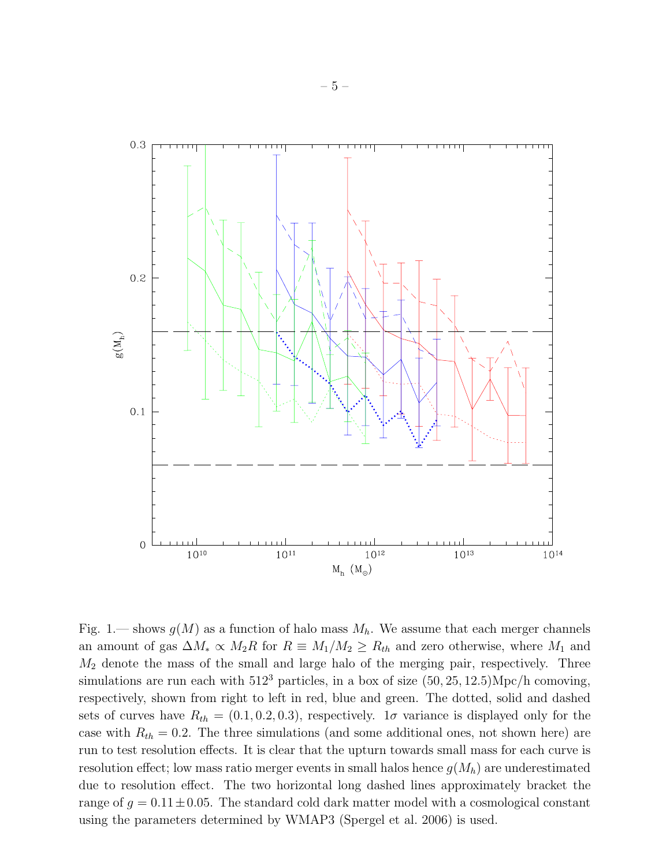

Fig. 1.— shows  $g(M)$  as a function of halo mass  $M_h$ . We assume that each merger channels an amount of gas  $\Delta M_* \propto M_2R$  for  $R \equiv M_1/M_2 \ge R_{th}$  and zero otherwise, where  $M_1$  and  $M_2$  denote the mass of the small and large halo of the merging pair, respectively. Three simulations are run each with  $512^3$  particles, in a box of size  $(50, 25, 12.5) \text{Mpc/h}$  comoving, respectively, shown from right to left in red, blue and green. The dotted, solid and dashed sets of curves have  $R_{th} = (0.1, 0.2, 0.3)$ , respectively. 1 $\sigma$  variance is displayed only for the case with  $R_{th} = 0.2$ . The three simulations (and some additional ones, not shown here) are run to test resolution effects. It is clear that the upturn towards small mass for each curve is resolution effect; low mass ratio merger events in small halos hence  $g(M_h)$  are underestimated due to resolution effect. The two horizontal long dashed lines approximately bracket the range of  $g = 0.11 \pm 0.05$ . The standard cold dark matter model with a cosmological constant using the parameters determined by WMAP3 (Spergel et al. 2006) is used.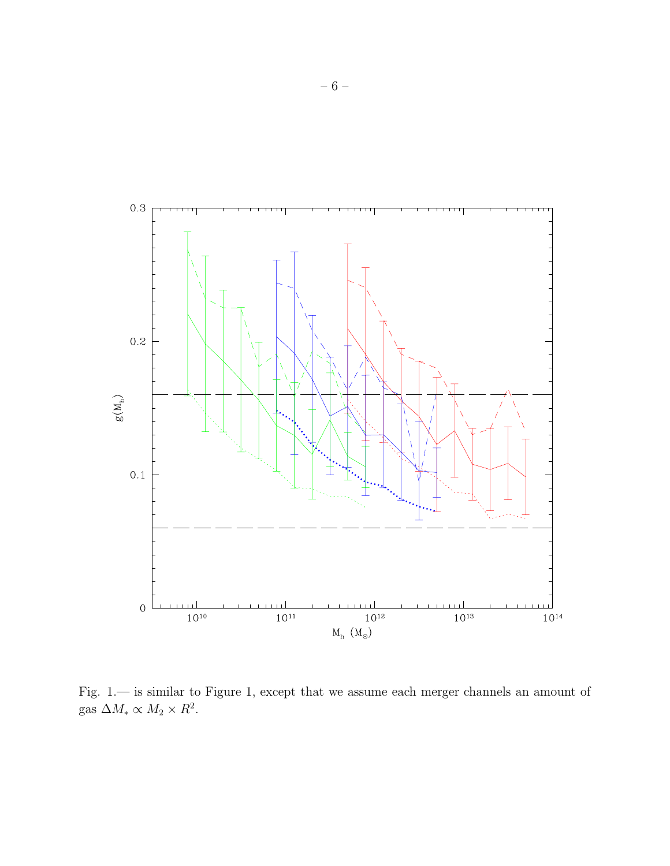

Fig. 1.— is similar to Figure 1, except that we assume each merger channels an amount of gas  $\Delta M_* \propto M_2 \times R^2$ .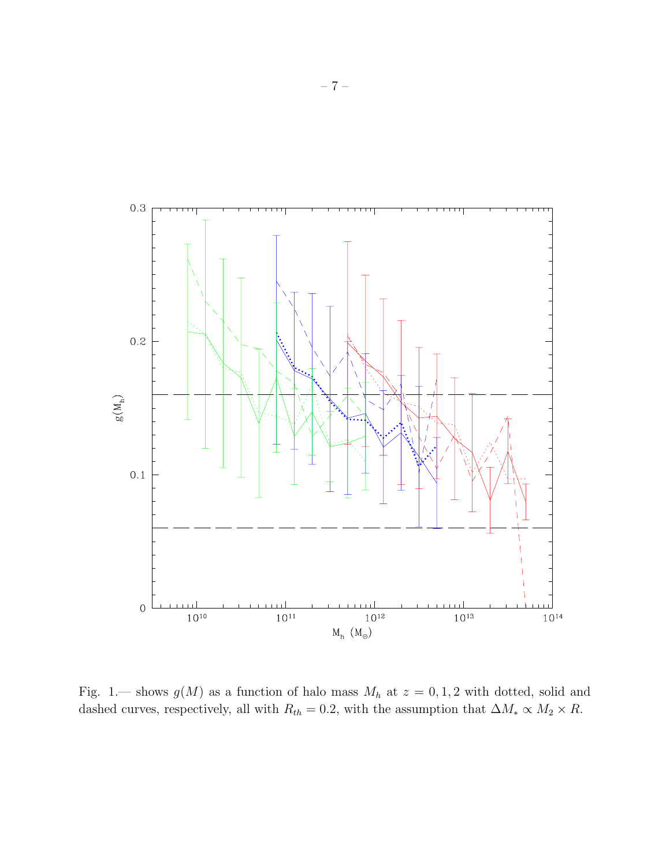

Fig. 1.— shows  $g(M)$  as a function of halo mass  $M_h$  at  $z = 0, 1, 2$  with dotted, solid and dashed curves, respectively, all with  $R_{th} = 0.2$ , with the assumption that  $\Delta M_* \propto M_2 \times R$ .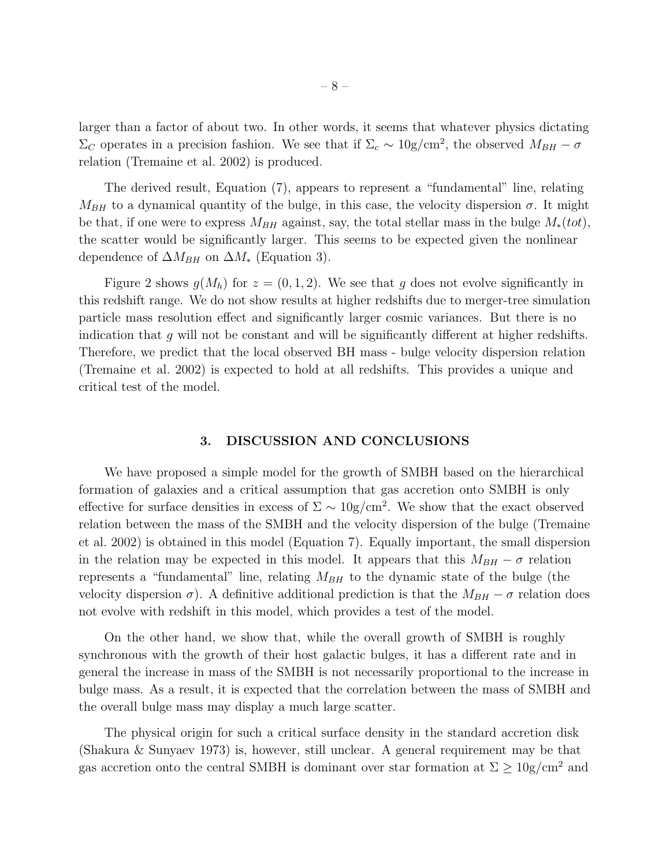larger than a factor of about two. In other words, it seems that whatever physics dictating  $\Sigma_C$  operates in a precision fashion. We see that if  $\Sigma_c \sim 10$ g/cm<sup>2</sup>, the observed  $M_{BH} - \sigma$ relation (Tremaine et al. 2002) is produced.

The derived result, Equation (7), appears to represent a "fundamental" line, relating  $M_{BH}$  to a dynamical quantity of the bulge, in this case, the velocity dispersion  $\sigma$ . It might be that, if one were to express  $M_{BH}$  against, say, the total stellar mass in the bulge  $M_*(tot)$ , the scatter would be significantly larger. This seems to be expected given the nonlinear dependence of  $\Delta M_{BH}$  on  $\Delta M_*$  (Equation 3).

Figure 2 shows  $g(M_h)$  for  $z = (0, 1, 2)$ . We see that g does not evolve significantly in this redshift range. We do not show results at higher redshifts due to merger-tree simulation particle mass resolution effect and significantly larger cosmic variances. But there is no indication that  $g$  will not be constant and will be significantly different at higher redshifts. Therefore, we predict that the local observed BH mass - bulge velocity dispersion relation (Tremaine et al. 2002) is expected to hold at all redshifts. This provides a unique and critical test of the model.

### 3. DISCUSSION AND CONCLUSIONS

We have proposed a simple model for the growth of SMBH based on the hierarchical formation of galaxies and a critical assumption that gas accretion onto SMBH is only effective for surface densities in excess of  $\Sigma \sim 10 \text{g/cm}^2$ . We show that the exact observed relation between the mass of the SMBH and the velocity dispersion of the bulge (Tremaine et al. 2002) is obtained in this model (Equation 7). Equally important, the small dispersion in the relation may be expected in this model. It appears that this  $M_{BH} - \sigma$  relation represents a "fundamental" line, relating  $M_{BH}$  to the dynamic state of the bulge (the velocity dispersion  $\sigma$ ). A definitive additional prediction is that the  $M_{BH} - \sigma$  relation does not evolve with redshift in this model, which provides a test of the model.

On the other hand, we show that, while the overall growth of SMBH is roughly synchronous with the growth of their host galactic bulges, it has a different rate and in general the increase in mass of the SMBH is not necessarily proportional to the increase in bulge mass. As a result, it is expected that the correlation between the mass of SMBH and the overall bulge mass may display a much large scatter.

The physical origin for such a critical surface density in the standard accretion disk (Shakura & Sunyaev 1973) is, however, still unclear. A general requirement may be that gas accretion onto the central SMBH is dominant over star formation at  $\Sigma \geq 10$ g/cm<sup>2</sup> and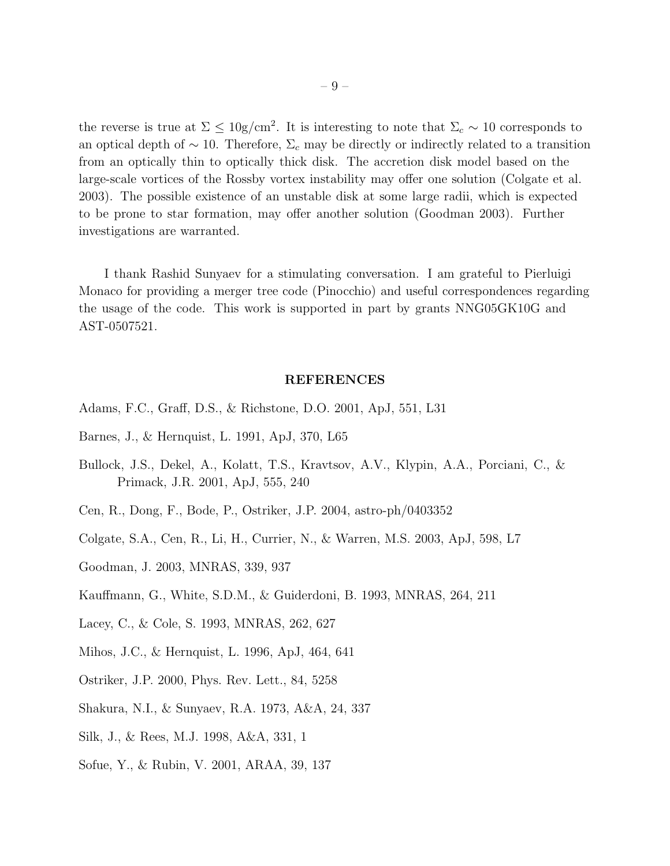the reverse is true at  $\Sigma \leq 10$ g/cm<sup>2</sup>. It is interesting to note that  $\Sigma_c \sim 10$  corresponds to an optical depth of  $\sim 10$ . Therefore,  $\Sigma_c$  may be directly or indirectly related to a transition from an optically thin to optically thick disk. The accretion disk model based on the large-scale vortices of the Rossby vortex instability may offer one solution (Colgate et al. 2003). The possible existence of an unstable disk at some large radii, which is expected to be prone to star formation, may offer another solution (Goodman 2003). Further investigations are warranted.

I thank Rashid Sunyaev for a stimulating conversation. I am grateful to Pierluigi Monaco for providing a merger tree code (Pinocchio) and useful correspondences regarding the usage of the code. This work is supported in part by grants NNG05GK10G and AST-0507521.

#### REFERENCES

- Adams, F.C., Graff, D.S., & Richstone, D.O. 2001, ApJ, 551, L31
- Barnes, J., & Hernquist, L. 1991, ApJ, 370, L65
- Bullock, J.S., Dekel, A., Kolatt, T.S., Kravtsov, A.V., Klypin, A.A., Porciani, C., & Primack, J.R. 2001, ApJ, 555, 240
- Cen, R., Dong, F., Bode, P., Ostriker, J.P. 2004, astro-ph/0403352
- Colgate, S.A., Cen, R., Li, H., Currier, N., & Warren, M.S. 2003, ApJ, 598, L7
- Goodman, J. 2003, MNRAS, 339, 937
- Kauffmann, G., White, S.D.M., & Guiderdoni, B. 1993, MNRAS, 264, 211
- Lacey, C., & Cole, S. 1993, MNRAS, 262, 627
- Mihos, J.C., & Hernquist, L. 1996, ApJ, 464, 641
- Ostriker, J.P. 2000, Phys. Rev. Lett., 84, 5258
- Shakura, N.I., & Sunyaev, R.A. 1973, A&A, 24, 337
- Silk, J., & Rees, M.J. 1998, A&A, 331, 1
- Sofue, Y., & Rubin, V. 2001, ARAA, 39, 137